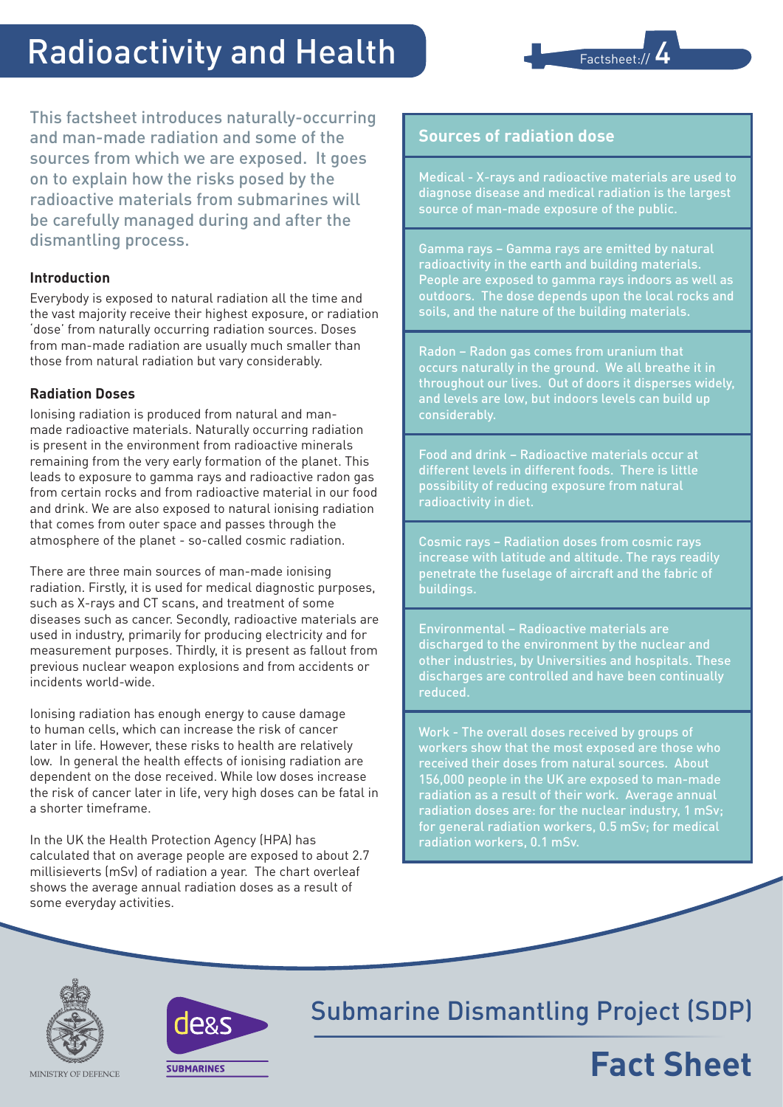# Radioactivity and Health



This factsheet introduces naturally-occurring and man-made radiation and some of the sources from which we are exposed. It goes on to explain how the risks posed by the radioactive materials from submarines will be carefully managed during and after the dismantling process.

### **Introduction**

Everybody is exposed to natural radiation all the time and the vast majority receive their highest exposure, or radiation 'dose' from naturally occurring radiation sources. Doses from man-made radiation are usually much smaller than those from natural radiation but vary considerably.

### **Radiation Doses**

Ionising radiation is produced from natural and manmade radioactive materials. Naturally occurring radiation is present in the environment from radioactive minerals remaining from the very early formation of the planet. This leads to exposure to gamma rays and radioactive radon gas from certain rocks and from radioactive material in our food and drink. We are also exposed to natural ionising radiation that comes from outer space and passes through the atmosphere of the planet - so-called cosmic radiation.

There are three main sources of man-made ionising radiation. Firstly, it is used for medical diagnostic purposes, such as X-rays and CT scans, and treatment of some diseases such as cancer. Secondly, radioactive materials are used in industry, primarily for producing electricity and for measurement purposes. Thirdly, it is present as fallout from previous nuclear weapon explosions and from accidents or incidents world-wide.

Ionising radiation has enough energy to cause damage to human cells, which can increase the risk of cancer later in life. However, these risks to health are relatively low. In general the health effects of ionising radiation are dependent on the dose received. While low doses increase the risk of cancer later in life, very high doses can be fatal in a shorter timeframe.

In the UK the Health Protection Agency (HPA) has calculated that on average people are exposed to about 2.7 millisieverts (mSv) of radiation a year. The chart overleaf shows the average annual radiation doses as a result of some everyday activities.

### **Sources of radiation dose**

Medical - X-rays and radioactive materials are used to diagnose disease and medical radiation is the largest source of man-made exposure of the public.

Gamma rays – Gamma rays are emitted by natural radioactivity in the earth and building materials. People are exposed to gamma rays indoors as well as outdoors. The dose depends upon the local rocks and soils, and the nature of the building materials.

Radon – Radon gas comes from uranium that occurs naturally in the ground. We all breathe it in throughout our lives. Out of doors it disperses widely, and levels are low, but indoors levels can build up considerably.

Food and drink – Radioactive materials occur at different levels in different foods. There is little possibility of reducing exposure from natural radioactivity in diet.

Cosmic rays – Radiation doses from cosmic rays increase with latitude and altitude. The rays readily penetrate the fuselage of aircraft and the fabric of buildings.

Environmental – Radioactive materials are discharged to the environment by the nuclear and other industries, by Universities and hospitals. These discharges are controlled and have been continually reduced.

Work - The overall doses received by groups of workers show that the most exposed are those who received their doses from natural sources. About 156,000 people in the UK are exposed to man-made radiation as a result of their work. Average annual radiation doses are: for the nuclear industry, 1 mSv; for general radiation workers, 0.5 mSv; for medical radiation workers, 0.1 mSv.





## Submarine Dismantling Project (SDP)

# **Fact Sheet**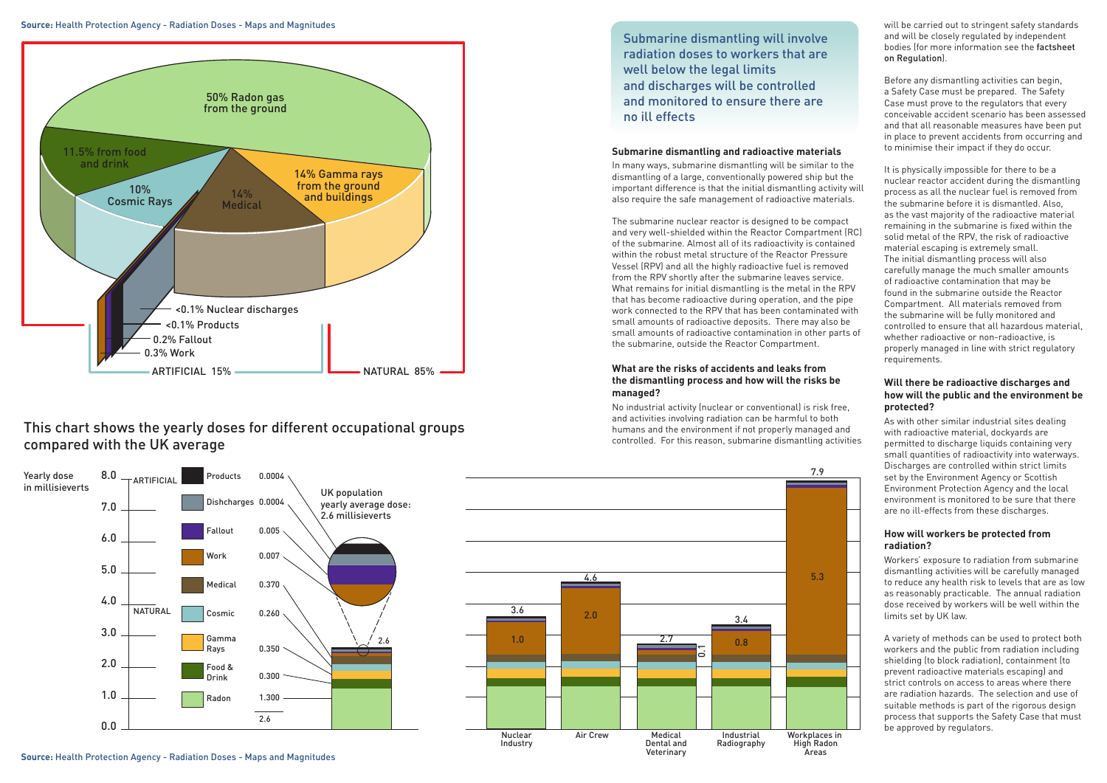





## This chart shows the yearly doses for different occupational groups compared with the UK average

In many ways, submarine dismantling will be similar to the dismantling of a large, conventionally powered ship but the important difference is that the initial dismantling activity will also require the safe management of radioactive materials.



**Source:** Health Protection Agency - Radiation Doses - Maps and Magnitudes

**Source:** Health Protection Agency - Radiation Doses - Maps and Magnitudes

#### **Submarine dismantling and radioactive materials**

The submarine nuclear reactor is designed to be compact and very well-shielded within the Reactor Compartment (RC) of the submarine. Almost all of its radioactivity is contained within the robust metal structure of the Reactor Pressure Vessel (RPV) and all the highly radioactive fuel is removed from the RPV shortly after the submarine leaves service. What remains for initial dismantling is the metal in the RPV that has become radioactive during operation, and the pipe work connected to the RPV that has been contaminated with small amounts of radioactive deposits. There may also be small amounts of radioactive contamination in other parts of the submarine, outside the Reactor Compartment.

#### **What are the risks of accidents and leaks from the dismantling process and how will the risks be managed?**

No industrial activity (nuclear or conventional) is risk free, and activities involving radiation can be harmful to both humans and the environment if not properly managed and controlled. For this reason, submarine dismantling activities

Submarine dismantling will involve radiation doses to workers that are well below the legal limits and discharges will be controlled and monitored to ensure there are no ill effects

will be carried out to stringent safety standards and will be closely regulated by independent bodies (for more information see the factsheet on Regulation).

Before any dismantling activities can begin, a Safety Case must be prepared. The Safety Case must prove to the regulators that every conceivable accident scenario has been assessed and that all reasonable measures have been put in place to prevent accidents from occurring and to minimise their impact if they do occur.

It is physically impossible for there to be a nuclear reactor accident during the dismantling process as all the nuclear fuel is removed from the submarine before it is dismantled. Also, as the vast majority of the radioactive material remaining in the submarine is fixed within the solid metal of the RPV, the risk of radioactive material escaping is extremely small. The initial dismantling process will also carefully manage the much smaller amounts of radioactive contamination that may be found in the submarine outside the Reactor Compartment. All materials removed from the submarine will be fully monitored and controlled to ensure that all hazardous material, whether radioactive or non-radioactive, is properly managed in line with strict regulatory requirements.

#### **Will there be radioactive discharges and how will the public and the environment be protected?**

As with other similar industrial sites dealing with radioactive material, dockyards are permitted to discharge liquids containing very small quantities of radioactivity into waterways. Discharges are controlled within strict limits set by the Environment Agency or Scottish Environment Protection Agency and the local environment is monitored to be sure that there are no ill-effects from these discharges.

### **How will workers be protected from radiation?**

Workers' exposure to radiation from submarine dismantling activities will be carefully managed to reduce any health risk to levels that are as low as reasonably practicable. The annual radiation dose received by workers will be well within the limits set by UK law.

A variety of methods can be used to protect both workers and the public from radiation including shielding (to block radiation), containment (to prevent radioactive materials escaping) and strict controls on access to areas where there are radiation hazards. The selection and use of suitable methods is part of the rigorous design process that supports the Safety Case that must be approved by regulators.